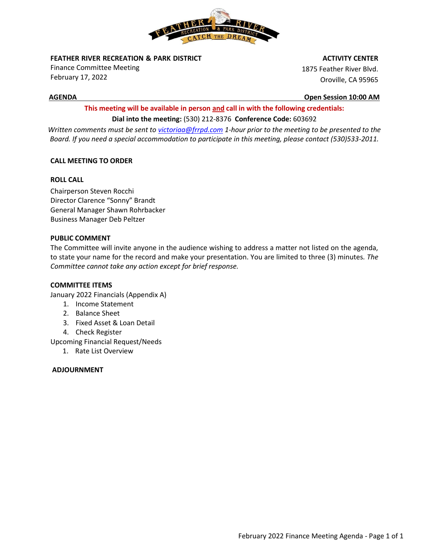

**FEATHER RIVER RECREATION & PARK DISTRICT** 

Finance Committee Meeting February 17, 2022

#### **ACTIVITY CENTER**

1875 Feather River Blvd. Oroville, CA 95965

**AGENDA Open Session 10:00 AM**

# **This meeting will be available in person and call in with the following credentials: Dial into the meeting:** (530) 212-8376 **Conference Code:** 603692

*Written comments must be sent t[o victoriaa@frrpd.com](mailto:victoriaa@frrpd.com) 1-hour prior to the meeting to be presented to the Board. If you need a special accommodation to participate in this meeting, please contact (530)533-2011.*

## **CALL MEETING TO ORDER**

## **ROLL CALL**

Chairperson Steven Rocchi Director Clarence "Sonny" Brandt General Manager Shawn Rohrbacker Business Manager Deb Peltzer

## **PUBLIC COMMENT**

The Committee will invite anyone in the audience wishing to address a matter not listed on the agenda, to state your name for the record and make your presentation. You are limited to three (3) minutes*. The Committee cannot take any action except for brief response.*

## **COMMITTEE ITEMS**

January 2022 Financials (Appendix A)

- 1. Income Statement
- 2. Balance Sheet
- 3. Fixed Asset & Loan Detail
- 4. Check Register

Upcoming Financial Request/Needs

1. Rate List Overview

## **ADJOURNMENT**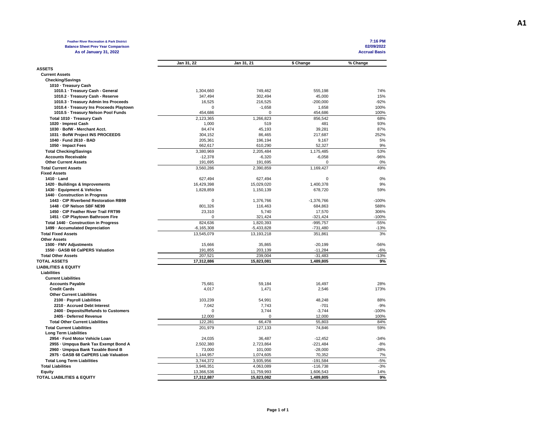| <b>Feather River Recreation &amp; Park District</b><br><b>Balance Sheet Prev Year Comparison</b> |                         |                         |                         | 7:16 PM<br>02/09/2022 |
|--------------------------------------------------------------------------------------------------|-------------------------|-------------------------|-------------------------|-----------------------|
| As of January 31, 2022                                                                           |                         |                         |                         | <b>Accrual Basis</b>  |
|                                                                                                  | Jan 31, 22              | Jan 31, 21              | \$ Change               | % Change              |
| <b>ASSETS</b>                                                                                    |                         |                         |                         |                       |
| <b>Current Assets</b>                                                                            |                         |                         |                         |                       |
| <b>Checking/Savings</b>                                                                          |                         |                         |                         |                       |
| 1010 · Treasury Cash                                                                             |                         |                         |                         |                       |
| 1010.1 · Treasury Cash - General                                                                 | 1,304,660               | 749,462                 | 555,198                 | 74%                   |
| 1010.2 - Treasury Cash - Reserve                                                                 | 347,494                 | 302,494                 | 45,000                  | 15%                   |
| 1010.3 · Treasury Admin Ins Proceeds                                                             | 16,525<br>0             | 216,525                 | $-200,000$              | $-92%$<br>100%        |
| 1010.4 · Treasury Ins Proceeds Playtown<br>1010.5 - Treasury Nelson Pool Funds                   | 454.686                 | $-1,658$<br>$\Omega$    | 1,658<br>454.686        | 100%                  |
|                                                                                                  |                         |                         |                         |                       |
| Total 1010 - Treasury Cash                                                                       | 2,123,365               | 1,266,823               | 856,542                 | 68%                   |
| 1020 - Imprest Cash                                                                              | 1,000                   | 519                     | 481                     | 93%                   |
| 1030 - BofW - Merchant Acct.                                                                     | 84,474                  | 45,193                  | 39,281                  | 87%                   |
| 1031 - BofW Project INS PROCEEDS                                                                 | 304,152                 | 86,465                  | 217,687                 | 252%                  |
| 1040 - Fund 2610 - BAD<br>1050 - Impact Fees                                                     | 205,361<br>662,617      | 196,194<br>610,290      | 9,167                   | 5%<br>9%              |
|                                                                                                  |                         |                         | 52,327                  | 53%                   |
| <b>Total Checking/Savings</b>                                                                    | 3,380,969               | 2,205,484               | 1,175,485               | $-96%$                |
| <b>Accounts Receivable</b><br><b>Other Current Assets</b>                                        | $-12,378$<br>191,695    | $-6,320$<br>191,695     | $-6,058$<br>0           |                       |
| <b>Total Current Assets</b>                                                                      | 3,560,286               | 2,390,859               | 1,169,427               | 0%<br>49%             |
| <b>Fixed Assets</b>                                                                              |                         |                         |                         |                       |
|                                                                                                  |                         |                         | $\mathbf 0$             |                       |
| 1410 - Land<br>1420 - Buildings & Improvements                                                   | 627,494<br>16,429,398   | 627,494<br>15,029,020   | 1,400,378               | 0%<br>9%              |
| 1430 - Equipment & Vehicles                                                                      | 1,828,859               | 1,150,139               | 678,720                 | 59%                   |
| 1440 - Construction in Progress                                                                  |                         |                         |                         |                       |
| 1443 - CIP Riverbend Restoration RB99                                                            | $\Omega$                | 1,376,766               | $-1,376,766$            | $-100%$               |
| 1448 - CIP Nelson SBF NE99                                                                       | 801,326                 | 116,463                 | 684,863                 | 588%                  |
| 1450 - CIP Feather River Trail FRT99                                                             | 23,310                  | 5,740                   | 17,570                  | 306%                  |
| 1451 - CIP Playtown Bathroom Fire                                                                | 0                       | 321,424                 | $-321,424$              | $-100%$               |
| Total 1440 - Construction in Progress                                                            | 824,636                 | 1,820,393               | $-995.757$              | $-55%$                |
| 1499 - Accumulated Depreciation                                                                  | $-6, 165, 308$          | $-5,433,828$            | $-731,480$              | $-13%$                |
| <b>Total Fixed Assets</b>                                                                        | 13,545,079              | 13,193,218              | 351,861                 | 3%                    |
| <b>Other Assets</b>                                                                              |                         |                         |                         |                       |
| 1500 · FMV Adjustments                                                                           | 15,666                  | 35,865                  | $-20,199$               | $-56%$                |
| 1550 - GASB 68 CalPERS Valuation                                                                 | 191,855                 | 203,139                 | $-11,284$               | $-6%$                 |
| <b>Total Other Assets</b>                                                                        | 207,521                 | 239,004                 | $-31,483$               | $-13%$                |
| <b>TOTAL ASSETS</b>                                                                              | 17,312,886              | 15,823,081              | 1,489,805               | 9%                    |
| <b>LIABILITIES &amp; EQUITY</b>                                                                  |                         |                         |                         |                       |
|                                                                                                  |                         |                         |                         |                       |
| Liabilities                                                                                      |                         |                         |                         |                       |
| <b>Current Liabilities</b><br><b>Accounts Payable</b>                                            | 75,681                  | 59,184                  | 16,497                  | 28%                   |
| <b>Credit Cards</b>                                                                              | 4,017                   | 1,471                   | 2,546                   | 173%                  |
| <b>Other Current Liabilities</b>                                                                 |                         |                         |                         |                       |
| 2100 - Payroll Liabilities                                                                       | 103,239                 | 54,991                  | 48,248                  | 88%                   |
| 2210 - Accrued Debt Interest                                                                     | 7,042                   | 7,743                   | $-701$                  | $-9%$                 |
| 2400 · Deposits/Refunds to Customers                                                             | $\mathbf 0$             | 3,744                   | $-3,744$                | $-100%$               |
| 2405 - Deferred Revenue                                                                          | 12,000                  | $\Omega$                | 12,000                  | 100%                  |
| <b>Total Other Current Liabilities</b>                                                           | 122,281                 | 66,478                  | 55,803                  | 84%                   |
| <b>Total Current Liabilities</b>                                                                 | 201,979                 | 127,133                 | 74,846                  | 59%                   |
|                                                                                                  |                         |                         |                         |                       |
| <b>Long Term Liabilities</b><br>2954 - Ford Motor Vehicle Loan                                   | 24,035                  | 36,487                  | $-12,452$               | $-34%$                |
|                                                                                                  |                         |                         |                         | $-8%$                 |
| 2955 - Umpqua Bank Tax Exempt Bond A                                                             | 2,502,380               | 2,723,864               | $-221,484$              | $-28%$                |
| 2960 · Umpqua Bank Taxable Bond B<br>2975 - GASB 68 CalPERS Liab Valuation                       | 73,000<br>1,144,957     | 101,000<br>1,074,605    | $-28,000$<br>70,352     | 7%                    |
|                                                                                                  | 3,744,372               |                         | $-191,584$              | $-5%$                 |
| <b>Total Long Term Liabilities</b>                                                               |                         | 3,935,956               |                         | $-3%$                 |
| <b>Total Liabilities</b>                                                                         | 3,946,351<br>13,366,536 | 4,063,089<br>11,759,993 | $-116,738$<br>1,606,543 | 14%                   |
| Equity<br>TOTAL LIABILITIES & EQUITY                                                             |                         |                         |                         | 9%                    |
|                                                                                                  | 17,312,887              | 15,823,082              | 1,489,805               |                       |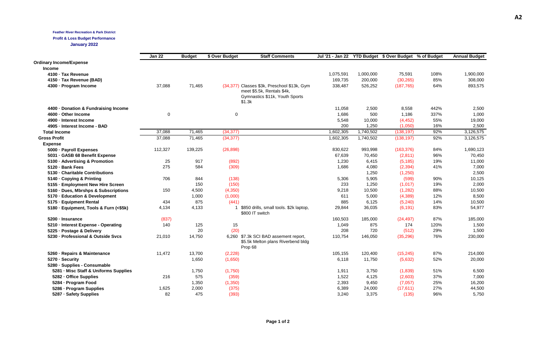#### **Feather River Recreation & Park District**

#### **Profit & Loss Budget Performance**

**January 2022**

|                                        | <b>Jan 22</b> |               | \$ Over Budget | <b>Staff Comments</b>                                                       |           |                      | Jul '21 - Jan 22 YTD Budget \$ Over Budget % of Budget |      | <b>Annual Budget</b> |
|----------------------------------------|---------------|---------------|----------------|-----------------------------------------------------------------------------|-----------|----------------------|--------------------------------------------------------|------|----------------------|
|                                        |               | <b>Budget</b> |                |                                                                             |           |                      |                                                        |      |                      |
| <b>Ordinary Income/Expense</b>         |               |               |                |                                                                             |           |                      |                                                        |      |                      |
| <b>Income</b>                          |               |               |                |                                                                             | 1,075,591 |                      |                                                        | 108% |                      |
| 4100 - Tax Revenue                     |               |               |                |                                                                             | 169,735   | 1,000,000<br>200,000 | 75,591<br>(30, 265)                                    | 85%  | 1,900,000<br>308,000 |
| 4150 · Tax Revenue (BAD)               | 37,088        | 71,465        |                | (34,377) Classes \$3k, Preschool \$13k, Gym                                 | 338,487   | 526,252              | (187, 765)                                             | 64%  | 893,575              |
| 4300 - Program Income                  |               |               |                | meet \$5.5k, Rentals \$4k,                                                  |           |                      |                                                        |      |                      |
|                                        |               |               |                | Gymnastics \$11k, Youth Sports                                              |           |                      |                                                        |      |                      |
|                                        |               |               |                | \$1.3k                                                                      |           |                      |                                                        |      |                      |
| 4400 Donation & Fundraising Income     |               |               |                |                                                                             | 11,058    | 2,500                | 8,558                                                  | 442% | 2,500                |
| 4600 · Other Income                    | $\mathbf 0$   |               | 0              |                                                                             | 1,686     | 500                  | 1,186                                                  | 337% | 1,000                |
| 4900 - Interest Income                 |               |               |                |                                                                             | 5,548     | 10,000               | (4, 452)                                               | 55%  | 19,000               |
| 4905 - Interest Income - BAD           |               |               |                |                                                                             | 200       | 1,250                | (1,050)                                                | 16%  | 2,500                |
| <b>Total Income</b>                    | 37,088        | 71,465        | (34, 377)      |                                                                             | 1,602,305 | 1,740,502            | (138, 197)                                             | 92%  | 3,126,575            |
| <b>Gross Profit</b>                    | 37,088        | 71,465        | (34, 377)      |                                                                             | 1,602,305 | 1,740,502            | (138, 197)                                             | 92%  | 3,126,575            |
| <b>Expense</b>                         |               |               |                |                                                                             |           |                      |                                                        |      |                      |
| 5000 - Payroll Expenses                | 112,327       | 139,225       | (26, 898)      |                                                                             | 830,622   | 993,998              | (163, 376)                                             | 84%  | 1,690,123            |
| 5031 · GASB 68 Benefit Expense         |               |               |                |                                                                             | 67,639    | 70,450               | (2,811)                                                | 96%  | 70,450               |
| 5100 · Advertising & Promotion         | 25            | 917           | (892)          |                                                                             | 1,230     | 6,415                | (5, 185)                                               | 19%  | 11,000               |
| 5120 · Bank Fees                       | 275           | 584           | (309)          |                                                                             | 1,686     | 4,080                | (2, 394)                                               | 41%  | 7,000                |
| 5130 - Charitable Contributions        |               |               |                |                                                                             |           | 1,250                | (1,250)                                                |      | 2,500                |
| 5140 Copying & Printing                | 706           | 844           | (138)          |                                                                             | 5,306     | 5,905                | (599)                                                  | 90%  | 10,125               |
| 5155 · Employment New Hire Screen      |               | 150           | (150)          |                                                                             | 233       | 1,250                | (1,017)                                                | 19%  | 2,000                |
| 5160 - Dues, Mbrshps & Subscriptions   | 150           | 4,500         | (4,350)        |                                                                             | 9,218     | 10,500               | (1,282)                                                | 88%  | 10,500               |
| 5170 - Education & Development         |               | 1,000         | (1,000)        |                                                                             | 611       | 5,000                | (4, 389)                                               | 12%  | 8,500                |
| 5175 - Equipment Rental                | 434           | 875           | (441)          |                                                                             | 885       | 6,125                | (5,240)                                                | 14%  | 10,500               |
| 5180 · Equipment, Tools & Furn (<\$5k) | 4,134         | 4,133         | $\mathbf{1}$   | \$850 drills, small tools. \$2k laptop,<br>\$800 IT switch                  | 29,844    | 36,035               | (6, 191)                                               | 83%  | 54,977               |
| 5200 - Insurance                       | (837)         |               |                |                                                                             | 160,503   | 185,000              | (24, 497)                                              | 87%  | 185,000              |
| 5210 - Interest Expense - Operating    | 140           | 125           | 15             |                                                                             | 1,049     | 875                  | 174                                                    | 120% | 1,500                |
| 5225 - Postage & Delivery              |               | 20            | (20)           |                                                                             | 208       | 720                  | (512)                                                  | 29%  | 1,500                |
| 5230 - Professional & Outside Svcs     | 21,010        | 14,750        |                | 6,260 \$7.3k SCI BAD assement report,<br>\$5.5k Melton plans Riverbend bldg | 110,754   | 146,050              | (35, 296)                                              | 76%  | 230,000              |
|                                        |               |               |                | Prop 68                                                                     |           |                      |                                                        |      |                      |
| 5260 · Repairs & Maintenance           | 11,472        | 13,700        | (2, 228)       |                                                                             | 105,155   | 120,400              | (15, 245)                                              | 87%  | 214,000              |
| 5270 - Security                        |               | 1,650         | (1,650)        |                                                                             | 6,118     | 11,750               | (5,632)                                                | 52%  | 20,000               |
| 5280 · Supplies - Consumable           |               |               |                |                                                                             |           |                      |                                                        |      |                      |
| 5281 - Misc Staff & Uniforms Supplies  |               | 1,750         | (1,750)        |                                                                             | 1,911     | 3,750                | (1,839)                                                | 51%  | 6,500                |
| 5282 - Office Supplies                 | 216           | 575           | (359)          |                                                                             | 1,522     | 4,125                | (2,603)                                                | 37%  | 7,000                |
| 5284 - Program Food                    |               | 1,350         | (1,350)        |                                                                             | 2,393     | 9,450                | (7,057)                                                | 25%  | 16,200               |
| 5286 - Program Supplies                | 1,625         | 2,000         | (375)          |                                                                             | 6,389     | 24,000               | (17, 611)                                              | 27%  | 44,500               |
| 5287 - Safety Supplies                 | 82            | 475           | (393)          |                                                                             | 3,240     | 3,375                | (135)                                                  | 96%  | 5,750                |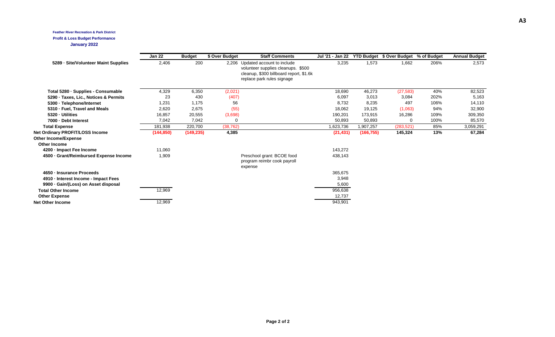#### **Feather River Recreation & Park District Profit & Loss Budget Performance January 2022**

|                                             | <b>Jan 22</b> | <b>Budget</b> | \$ Over Budget | <b>Staff Comments</b>                                                                                                                           | Jul '21 - Jan 22 |            | YTD Budget \$ Over Budget % of Budget |      | <b>Annual Budget</b> |
|---------------------------------------------|---------------|---------------|----------------|-------------------------------------------------------------------------------------------------------------------------------------------------|------------------|------------|---------------------------------------|------|----------------------|
| 5289 - Site/Volunteer Maint Supplies        | 2,406         | 200           |                | 2,206 Updated account to include<br>volunteer supplies cleanups. \$500<br>cleanup, \$300 billboard report, \$1.6k<br>replace park rules signage | 3,235            | 1,573      | 1,662                                 | 206% | 2,573                |
| Total 5280 · Supplies - Consumable          | 4,329         | 6,350         | (2,021)        |                                                                                                                                                 | 18,690           | 46,273     | (27, 583)                             | 40%  | 82,523               |
| 5290 · Taxes, Lic., Notices & Permits       | 23            | 430           | (407)          |                                                                                                                                                 | 6,097            | 3,013      | 3,084                                 | 202% | 5,163                |
| 5300 · Telephone/Internet                   | 1,231         | 1,175         | 56             |                                                                                                                                                 | 8,732            | 8,235      | 497                                   | 106% | 14,110               |
| 5310 · Fuel, Travel and Meals               | 2,620         | 2,675         | (55)           |                                                                                                                                                 | 18,062           | 19,125     | (1,063)                               | 94%  | 32,900               |
| 5320 - Utilities                            | 16,857        | 20,555        | (3,698)        |                                                                                                                                                 | 190,201          | 173,915    | 16,286                                | 109% | 309,350              |
| 7000 - Debt Interest                        | 7,042         | 7,042         | 0              |                                                                                                                                                 | 50,893           | 50,893     | $\Omega$                              | 100% | 85,570               |
| <b>Total Expense</b>                        | 181,938       | 220,700       | (38, 762)      |                                                                                                                                                 | 1,623,736        | 1,907,257  | (283, 521)                            | 85%  | 3,059,291            |
| Net Ordinary PROFIT/LOSS Income             | (144, 850)    | (149, 235)    | 4,385          |                                                                                                                                                 | (21, 431)        | (166, 755) | 145,324                               | 13%  | 67,284               |
| Other Income/Expense<br><b>Other Income</b> |               |               |                |                                                                                                                                                 |                  |            |                                       |      |                      |
| 4200 - Impact Fee Income                    | 11,060        |               |                |                                                                                                                                                 | 143,272          |            |                                       |      |                      |
| 4500 Grant/Reimbursed Expense Income        | 1,909         |               |                | Preschool grant: BCOE food<br>program reimbr cook payroll<br>expense                                                                            | 438,143          |            |                                       |      |                      |
| 4650 · Insurance Proceeds                   |               |               |                |                                                                                                                                                 | 365,675          |            |                                       |      |                      |
| 4910 - Interest Income - Impact Fees        |               |               |                |                                                                                                                                                 | 3,948            |            |                                       |      |                      |
| 9900 · Gain/(Loss) on Asset disposal        |               |               |                |                                                                                                                                                 | 5,600            |            |                                       |      |                      |
| <b>Total Other Income</b>                   | 12,969        |               |                |                                                                                                                                                 | 956,638          |            |                                       |      |                      |
| <b>Other Expense</b>                        |               |               |                |                                                                                                                                                 | 12,737           |            |                                       |      |                      |
| <b>Net Other Income</b>                     | 12,969        |               |                |                                                                                                                                                 | 943,901          |            |                                       |      |                      |
|                                             |               |               |                |                                                                                                                                                 |                  |            |                                       |      |                      |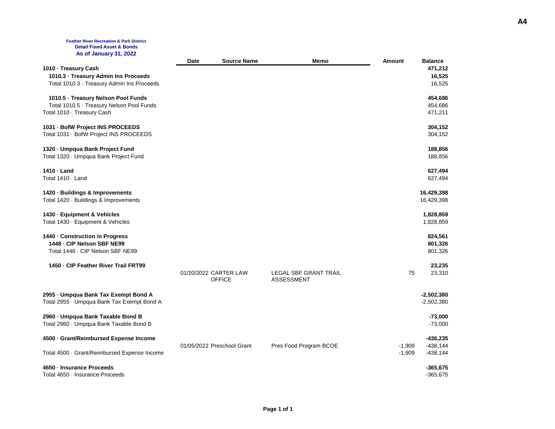#### **Feather River Recreation & Park District Detail Fixed Asset & Bonds As of January 31, 2022**

|                                              | Date | <b>Source Name</b>         | Memo                         | <b>Amount</b> | <b>Balance</b> |
|----------------------------------------------|------|----------------------------|------------------------------|---------------|----------------|
| 1010 · Treasury Cash                         |      |                            |                              |               | 471,212        |
| 1010.3 · Treasury Admin Ins Proceeds         |      |                            |                              |               | 16,525         |
| Total 1010.3 · Treasury Admin Ins Proceeds   |      |                            |                              |               | 16,525         |
|                                              |      |                            |                              |               |                |
| 1010.5 · Treasury Nelson Pool Funds          |      |                            |                              |               | 454,686        |
| Total 1010.5 · Treasury Nelson Pool Funds    |      |                            |                              |               | 454,686        |
| Total 1010 · Treasury Cash                   |      |                            |                              |               | 471,211        |
| 1031 - BofW Project INS PROCEEDS             |      |                            |                              |               | 304,152        |
| Total 1031 · BofW Project INS PROCEEDS       |      |                            |                              |               | 304,152        |
| 1320 - Umpqua Bank Project Fund              |      |                            |                              |               | 188,856        |
| Total 1320 · Umpqua Bank Project Fund        |      |                            |                              |               | 188,856        |
|                                              |      |                            |                              |               |                |
| 1410 - Land                                  |      |                            |                              |               | 627,494        |
| Total 1410 · Land                            |      |                            |                              |               | 627,494        |
| 1420 - Buildings & Improvements              |      |                            |                              |               | 16,429,398     |
| Total 1420 · Buildings & Improvements        |      |                            |                              |               | 16,429,398     |
| 1430 - Equipment & Vehicles                  |      |                            |                              |               | 1,828,859      |
| Total 1430 · Equipment & Vehicles            |      |                            |                              |               | 1,828,859      |
|                                              |      |                            |                              |               |                |
| 1440 - Construction in Progress              |      |                            |                              |               | 824,561        |
| 1448 - CIP Nelson SBF NE99                   |      |                            |                              |               | 801,326        |
| Total 1448 - CIP Nelson SBF NE99             |      |                            |                              |               | 801,326        |
| 1450 - CIP Feather River Trail FRT99         |      |                            |                              |               | 23,235         |
|                                              |      | 01/20/2022 CARTER LAW      | <b>LEGAL SBF GRANT TRAIL</b> | 75            | 23,310         |
|                                              |      | <b>OFFICE</b>              | <b>ASSESSMENT</b>            |               |                |
| 2955 - Umpqua Bank Tax Exempt Bond A         |      |                            |                              |               | $-2,502,380$   |
| Total 2955 · Umpqua Bank Tax Exempt Bond A   |      |                            |                              |               | $-2,502,380$   |
|                                              |      |                            |                              |               |                |
| 2960 - Umpqua Bank Taxable Bond B            |      |                            |                              |               | $-73,000$      |
| Total 2960 · Umpqua Bank Taxable Bond B      |      |                            |                              |               | $-73,000$      |
| 4500 Grant/Reimbursed Expense Income         |      |                            |                              |               | -436,235       |
|                                              |      | 01/05/2022 Preschool Grant | Pres Food Program BCOE       | $-1,909$      | $-438, 144$    |
| Total 4500 · Grant/Reimbursed Expense Income |      |                            |                              | $-1,909$      | $-438, 144$    |
| 4650 - Insurance Proceeds                    |      |                            |                              |               | $-365,675$     |
| Total 4650 · Insurance Proceeds              |      |                            |                              |               | $-365,675$     |
|                                              |      |                            |                              |               |                |